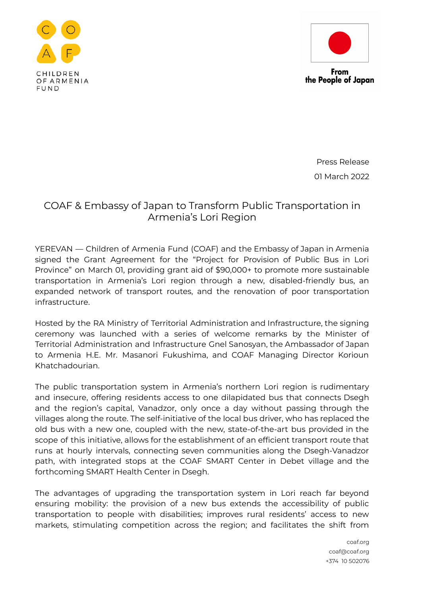



From the People of Japan

> Press Release 01 March 2022

## COAF & Embassy of Japan to Transform Public Transportation in Armenia's Lori Region

YEREVAN — Children of Armenia Fund (COAF) and the Embassy of Japan in Armenia signed the Grant Agreement for the "Project for Provision of Public Bus in Lori Province" on March 01, providing grant aid of \$90,000+ to promote more sustainable transportation in Armenia's Lori region through a new, disabled-friendly bus, an expanded network of transport routes, and the renovation of poor transportation infrastructure.

Hosted by the RA Ministry of Territorial Administration and Infrastructure, the signing ceremony was launched with a series of welcome remarks by the Minister of Territorial Administration and Infrastructure Gnel Sanosyan, the Ambassador of Japan to Armenia H.E. Mr. Masanori Fukushima, and COAF Managing Director Korioun Khatchadourian.

The public transportation system in Armenia's northern Lori region is rudimentary and insecure, offering residents access to one dilapidated bus that connects Dsegh and the region's capital, Vanadzor, only once a day without passing through the villages along the route. The self-initiative of the local bus driver, who has replaced the old bus with a new one, coupled with the new, state-of-the-art bus provided in the scope of this initiative, allows for the establishment of an efficient transport route that runs at hourly intervals, connecting seven communities along the Dsegh-Vanadzor path, with integrated stops at the COAF SMART Center in Debet village and the forthcoming SMART Health Center in Dsegh.

The advantages of upgrading the transportation system in Lori reach far beyond ensuring mobility: the provision of a new bus extends the accessibility of public transportation to people with disabilities; improves rural residents' access to new markets, stimulating competition across the region; and facilitates the shift from